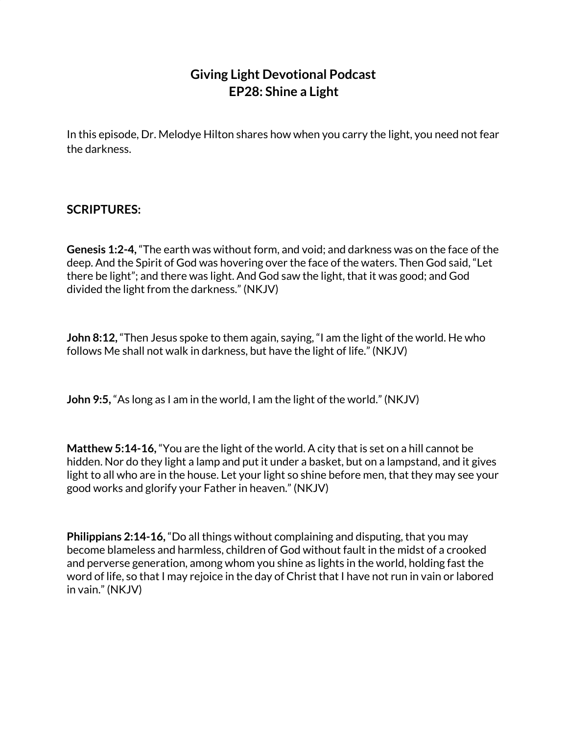## **Giving Light Devotional Podcast EP28: Shine a Light**

In this episode, Dr. Melodye Hilton shares how when you carry the light, you need not fear the darkness.

## **SCRIPTURES:**

**Genesis 1:2-4,** "The earth was without form, and void; and darkness was on the face of the deep. And the Spirit of God was hovering over the face of the waters. Then God said, "Let there be light"; and there was light. And God saw the light, that it was good; and God divided the light from the darkness." (NKJV)

**John 8:12,** "Then Jesus spoke to them again, saying, "I am the light of the world. He who follows Me shall not walk in darkness, but have the light of life." (NKJV)

**John 9:5,** "As long as I am in the world, I am the light of the world." (NKJV)

**Matthew 5:14-16,** "You are the light of the world. A city that is set on a hill cannot be hidden. Nor do they light a lamp and put it under a basket, but on a lampstand, and it gives light to all who are in the house. Let your light so shine before men, that they may see your good works and glorify your Father in heaven." (NKJV)

**Philippians 2:14-16,** "Do all things without complaining and disputing, that you may become blameless and harmless, children of God without fault in the midst of a crooked and perverse generation, among whom you shine as lights in the world, holding fast the word of life, so that I may rejoice in the day of Christ that I have not run in vain or labored in vain." (NKJV)